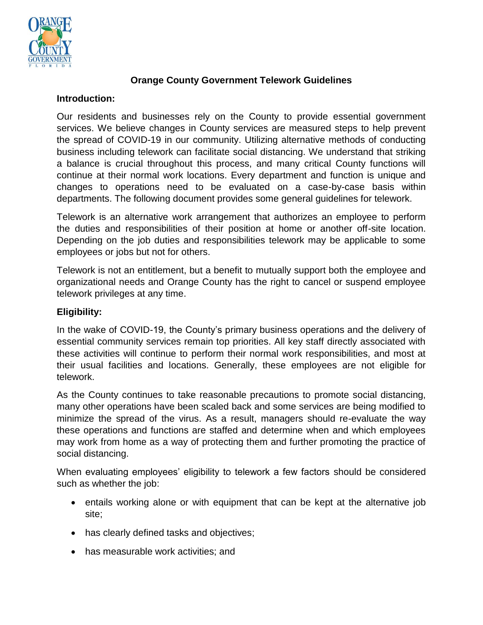

# **Orange County Government Telework Guidelines**

#### **Introduction:**

Our residents and businesses rely on the County to provide essential government services. We believe changes in County services are measured steps to help prevent the spread of COVID-19 in our community. Utilizing alternative methods of conducting business including telework can facilitate social distancing. We understand that striking a balance is crucial throughout this process, and many critical County functions will continue at their normal work locations. Every department and function is unique and changes to operations need to be evaluated on a case-by-case basis within departments. The following document provides some general guidelines for telework.

Telework is an alternative work arrangement that authorizes an employee to perform the duties and responsibilities of their position at home or another off-site location. Depending on the job duties and responsibilities telework may be applicable to some employees or jobs but not for others.

Telework is not an entitlement, but a benefit to mutually support both the employee and organizational needs and Orange County has the right to cancel or suspend employee telework privileges at any time.

### **Eligibility:**

In the wake of COVID-19, the County's primary business operations and the delivery of essential community services remain top priorities. All key staff directly associated with these activities will continue to perform their normal work responsibilities, and most at their usual facilities and locations. Generally, these employees are not eligible for telework.

As the County continues to take reasonable precautions to promote social distancing, many other operations have been scaled back and some services are being modified to minimize the spread of the virus. As a result, managers should re-evaluate the way these operations and functions are staffed and determine when and which employees may work from home as a way of protecting them and further promoting the practice of social distancing.

When evaluating employees' eligibility to telework a few factors should be considered such as whether the job:

- entails working alone or with equipment that can be kept at the alternative job site;
- has clearly defined tasks and objectives;
- has measurable work activities; and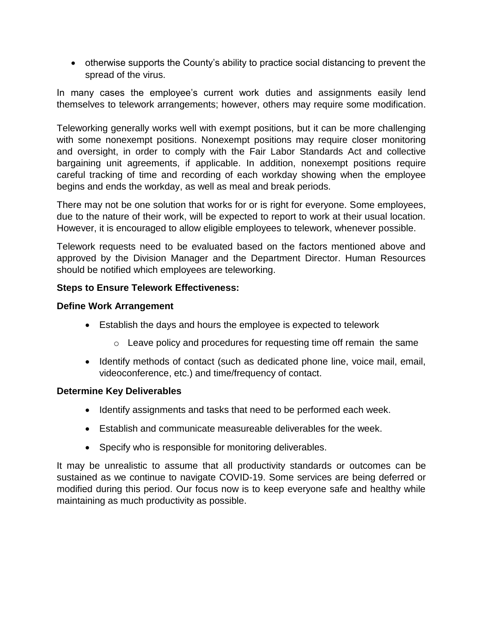otherwise supports the County's ability to practice social distancing to prevent the spread of the virus.

In many cases the employee's current work duties and assignments easily lend themselves to telework arrangements; however, others may require some modification.

Teleworking generally works well with exempt positions, but it can be more challenging with some nonexempt positions. Nonexempt positions may require closer monitoring and oversight, in order to comply with the Fair Labor Standards Act and collective bargaining unit agreements, if applicable. In addition, nonexempt positions require careful tracking of time and recording of each workday showing when the employee begins and ends the workday, as well as meal and break periods.

There may not be one solution that works for or is right for everyone. Some employees, due to the nature of their work, will be expected to report to work at their usual location. However, it is encouraged to allow eligible employees to telework, whenever possible.

Telework requests need to be evaluated based on the factors mentioned above and approved by the Division Manager and the Department Director. Human Resources should be notified which employees are teleworking.

### **Steps to Ensure Telework Effectiveness:**

### **Define Work Arrangement**

- Establish the days and hours the employee is expected to telework
	- o Leave policy and procedures for requesting time off remain the same
- Identify methods of contact (such as dedicated phone line, voice mail, email, videoconference, etc.) and time/frequency of contact.

### **Determine Key Deliverables**

- Identify assignments and tasks that need to be performed each week.
- Establish and communicate measureable deliverables for the week.
- Specify who is responsible for monitoring deliverables.

It may be unrealistic to assume that all productivity standards or outcomes can be sustained as we continue to navigate COVID-19. Some services are being deferred or modified during this period. Our focus now is to keep everyone safe and healthy while maintaining as much productivity as possible.